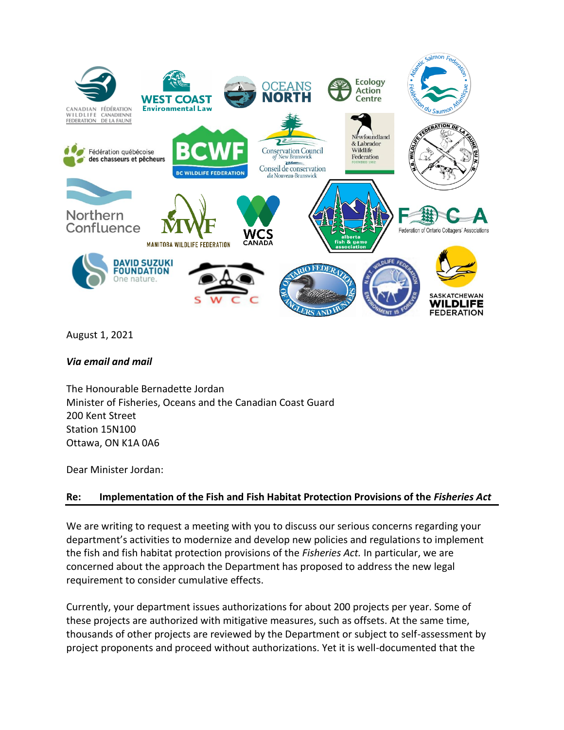

August 1, 2021

*Via email and mail*

The Honourable Bernadette Jordan Minister of Fisheries, Oceans and the Canadian Coast Guard 200 Kent Street Station 15N100 Ottawa, ON K1A 0A6

Dear Minister Jordan:

# **Re: Implementation of the Fish and Fish Habitat Protection Provisions of the** *Fisheries Act*

We are writing to request a meeting with you to discuss our serious concerns regarding your department's activities to modernize and develop new policies and regulations to implement the fish and fish habitat protection provisions of the *Fisheries Act.* In particular, we are concerned about the approach the Department has proposed to address the new legal requirement to consider cumulative effects.

Currently, your department issues authorizations for about 200 projects per year. Some of these projects are authorized with mitigative measures, such as offsets. At the same time, thousands of other projects are reviewed by the Department or subject to self-assessment by project proponents and proceed without authorizations. Yet it is well-documented that the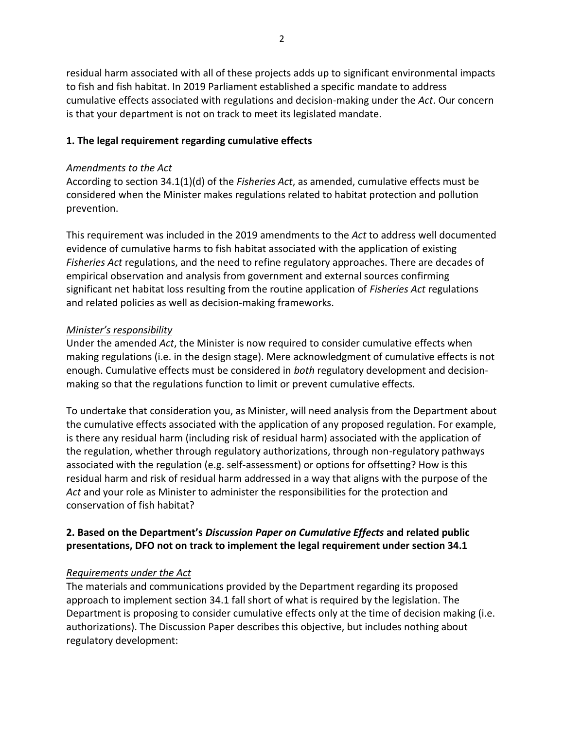residual harm associated with all of these projects adds up to significant environmental impacts to fish and fish habitat. In 2019 Parliament established a specific mandate to address cumulative effects associated with regulations and decision-making under the *Act*. Our concern is that your department is not on track to meet its legislated mandate.

#### **1. The legal requirement regarding cumulative effects**

#### *Amendments to the Act*

According to section 34.1(1)(d) of the *Fisheries Act*, as amended, cumulative effects must be considered when the Minister makes regulations related to habitat protection and pollution prevention.

This requirement was included in the 2019 amendments to the *Act* to address well documented evidence of cumulative harms to fish habitat associated with the application of existing *Fisheries Act* regulations, and the need to refine regulatory approaches. There are decades of empirical observation and analysis from government and external sources confirming significant net habitat loss resulting from the routine application of *Fisheries Act* regulations and related policies as well as decision-making frameworks.

#### *Minister's responsibility*

Under the amended *Act*, the Minister is now required to consider cumulative effects when making regulations (i.e. in the design stage). Mere acknowledgment of cumulative effects is not enough. Cumulative effects must be considered in *both* regulatory development and decisionmaking so that the regulations function to limit or prevent cumulative effects.

To undertake that consideration you, as Minister, will need analysis from the Department about the cumulative effects associated with the application of any proposed regulation. For example, is there any residual harm (including risk of residual harm) associated with the application of the regulation, whether through regulatory authorizations, through non-regulatory pathways associated with the regulation (e.g. self-assessment) or options for offsetting? How is this residual harm and risk of residual harm addressed in a way that aligns with the purpose of the *Act* and your role as Minister to administer the responsibilities for the protection and conservation of fish habitat?

# **2. Based on the Department's** *Discussion Paper on Cumulative Effects* **and related public presentations, DFO not on track to implement the legal requirement under section 34.1**

# *Requirements under the Act*

The materials and communications provided by the Department regarding its proposed approach to implement section 34.1 fall short of what is required by the legislation. The Department is proposing to consider cumulative effects only at the time of decision making (i.e. authorizations). The Discussion Paper describes this objective, but includes nothing about regulatory development: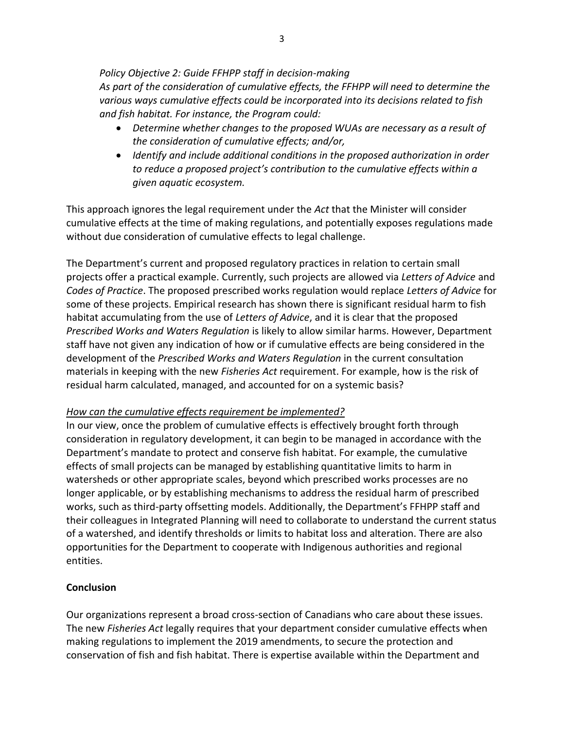*Policy Objective 2: Guide FFHPP staff in decision-making As part of the consideration of cumulative effects, the FFHPP will need to determine the* 

*various ways cumulative effects could be incorporated into its decisions related to fish and fish habitat. For instance, the Program could:*

- *Determine whether changes to the proposed WUAs are necessary as a result of the consideration of cumulative effects; and/or,*
- *Identify and include additional conditions in the proposed authorization in order to reduce a proposed project's contribution to the cumulative effects within a given aquatic ecosystem.*

This approach ignores the legal requirement under the *Act* that the Minister will consider cumulative effects at the time of making regulations, and potentially exposes regulations made without due consideration of cumulative effects to legal challenge.

The Department's current and proposed regulatory practices in relation to certain small projects offer a practical example. Currently, such projects are allowed via *Letters of Advice* and *Codes of Practice*. The proposed prescribed works regulation would replace *Letters of Advice* for some of these projects. Empirical research has shown there is significant residual harm to fish habitat accumulating from the use of *Letters of Advice*, and it is clear that the proposed *Prescribed Works and Waters Regulation* is likely to allow similar harms. However, Department staff have not given any indication of how or if cumulative effects are being considered in the development of the *Prescribed Works and Waters Regulation* in the current consultation materials in keeping with the new *Fisheries Act* requirement. For example, how is the risk of residual harm calculated, managed, and accounted for on a systemic basis?

# *How can the cumulative effects requirement be implemented?*

In our view, once the problem of cumulative effects is effectively brought forth through consideration in regulatory development, it can begin to be managed in accordance with the Department's mandate to protect and conserve fish habitat. For example, the cumulative effects of small projects can be managed by establishing quantitative limits to harm in watersheds or other appropriate scales, beyond which prescribed works processes are no longer applicable, or by establishing mechanisms to address the residual harm of prescribed works, such as third-party offsetting models. Additionally, the Department's FFHPP staff and their colleagues in Integrated Planning will need to collaborate to understand the current status of a watershed, and identify thresholds or limits to habitat loss and alteration. There are also opportunities for the Department to cooperate with Indigenous authorities and regional entities.

# **Conclusion**

Our organizations represent a broad cross-section of Canadians who care about these issues. The new *Fisheries Act* legally requires that your department consider cumulative effects when making regulations to implement the 2019 amendments, to secure the protection and conservation of fish and fish habitat. There is expertise available within the Department and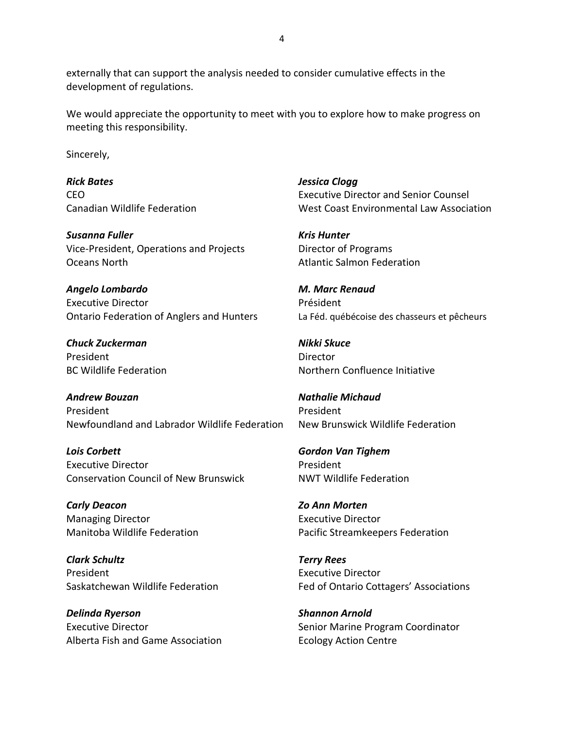externally that can support the analysis needed to consider cumulative effects in the development of regulations.

We would appreciate the opportunity to meet with you to explore how to make progress on meeting this responsibility.

Sincerely,

*Rick Bates Jessica Clogg*

*Susanna Fuller Kris Hunter* Vice-President, Operations and Projects Director of Programs **Oceans North Atlantic Salmon Federation** 

*Angelo Lombardo M. Marc Renaud* Executive Director **Président** Ontario Federation of Anglers and Hunters La Féd. québécoise des chasseurs et pêcheurs

*Chuck Zuckerman Nikki Skuce* President **Director** 

*Andrew Bouzan Nathalie Michaud* President President President Newfoundland and Labrador Wildlife Federation New Brunswick Wildlife Federation

*Lois Corbett Gordon Van Tighem* Executive Director **President** Conservation Council of New Brunswick NWT Wildlife Federation

*Carly Deacon Zo Ann Morten* Managing Director **Executive Director** Executive Director

*Clark Schultz Terry Rees* President **Executive Director** 

*Delinda Ryerson Shannon Arnold* Alberta Fish and Game Association **Ecology Action Centre** 

CEO Executive Director and Senior Counsel Canadian Wildlife Federation West Coast Environmental Law Association

BC Wildlife Federation **Notifiation** Northern Confluence Initiative

Manitoba Wildlife Federation Pacific Streamkeepers Federation

Saskatchewan Wildlife Federation Fed of Ontario Cottagers' Associations

Executive Director **Senior Marine Program Coordinator** Senior Marine Program Coordinator